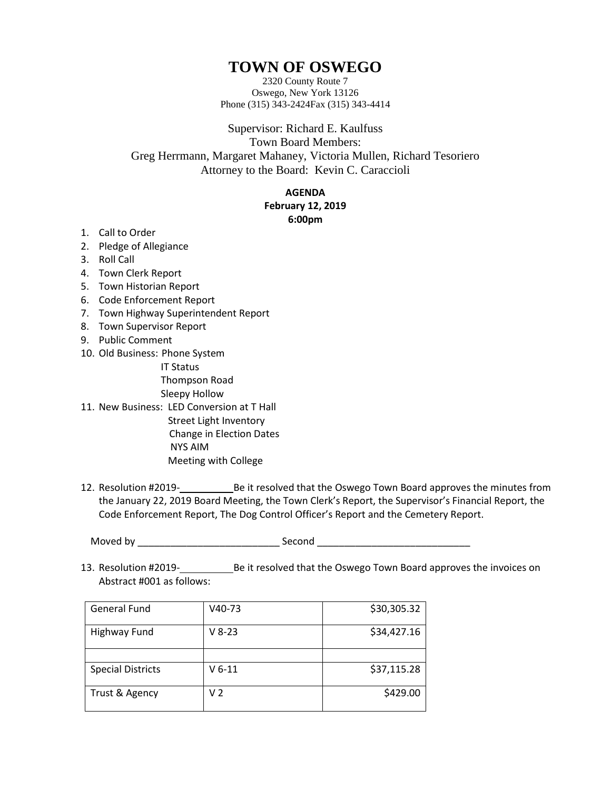## **TOWN OF OSWEGO**

2320 County Route 7 Oswego, New York 13126 Phone (315) 343-2424Fax (315) 343-4414

Supervisor: Richard E. Kaulfuss Town Board Members: Greg Herrmann, Margaret Mahaney, Victoria Mullen, Richard Tesoriero Attorney to the Board: Kevin C. Caraccioli

## **AGENDA**

## **February 12, 2019 6:00pm**

- 1. Call to Order
- 2. Pledge of Allegiance
- 3. Roll Call
- 4. Town Clerk Report
- 5. Town Historian Report
- 6. Code Enforcement Report
- 7. Town Highway Superintendent Report
- 8. Town Supervisor Report
- 9. Public Comment
- 10. Old Business: Phone System
	- IT Status

Thompson Road

- Sleepy Hollow
- 11. New Business: LED Conversion at T Hall Street Light Inventory Change in Election Dates NYS AIM Meeting with College
- 12. Resolution #2019- Be it resolved that the Oswego Town Board approves the minutes from the January 22, 2019 Board Meeting, the Town Clerk's Report, the Supervisor's Financial Report, the Code Enforcement Report, The Dog Control Officer's Report and the Cemetery Report.

Moved by \_\_\_\_\_\_\_\_\_\_\_\_\_\_\_\_\_\_\_\_\_\_\_\_\_\_ Second \_\_\_\_\_\_\_\_\_\_\_\_\_\_\_\_\_\_\_\_\_\_\_\_\_\_\_\_

13. Resolution #2019-<br>
Be it resolved that the Oswego Town Board approves the invoices on Abstract #001 as follows:

| <b>General Fund</b>      | V40-73   | \$30,305.32 |
|--------------------------|----------|-------------|
| <b>Highway Fund</b>      | $V 8-23$ | \$34,427.16 |
|                          |          |             |
| <b>Special Districts</b> | $V$ 6-11 | \$37,115.28 |
| Trust & Agency           | V 2      | \$429.00    |